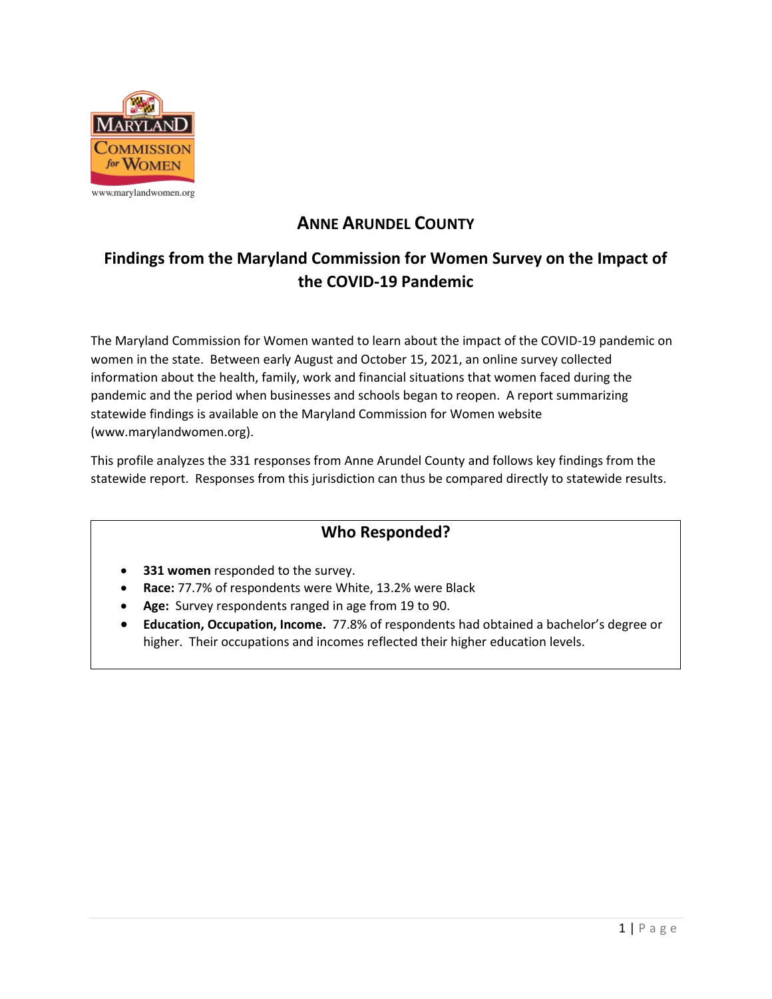

www.marylandwomen.org

# **ANNE ARUNDEL COUNTY**

# **Findings from the Maryland Commission for Women Survey on the Impact of the COVID-19 Pandemic**

The Maryland Commission for Women wanted to learn about the impact of the COVID-19 pandemic on women in the state. Between early August and October 15, 2021, an online survey collected information about the health, family, work and financial situations that women faced during the pandemic and the period when businesses and schools began to reopen. A report summarizing statewide findings is available on the Maryland Commission for Women website (www.marylandwomen.org).

This profile analyzes the 331 responses from Anne Arundel County and follows key findings from the statewide report. Responses from this jurisdiction can thus be compared directly to statewide results.

# **Who Responded?**

- **331 women** responded to the survey.
- **Race:** 77.7% of respondents were White, 13.2% were Black
- **Age:** Survey respondents ranged in age from 19 to 90.
- **Education, Occupation, Income.** 77.8% of respondents had obtained a bachelor's degree or higher. Their occupations and incomes reflected their higher education levels.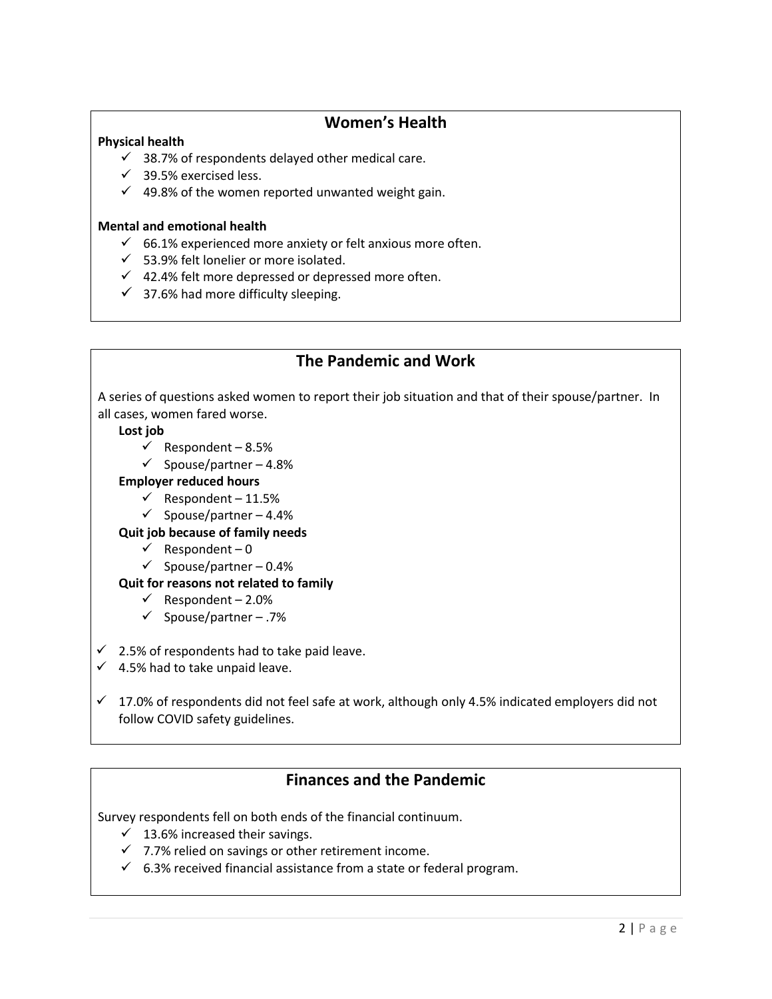## **Women's Health**

## **Physical health**

- $\checkmark$  38.7% of respondents delayed other medical care.
- ✓ 39.5% exercised less.
- $\checkmark$  49.8% of the women reported unwanted weight gain.

### **Mental and emotional health**

- $\checkmark$  66.1% experienced more anxiety or felt anxious more often.
- $\checkmark$  53.9% felt lonelier or more isolated.
- $\checkmark$  42.4% felt more depressed or depressed more often.
- $\checkmark$  37.6% had more difficulty sleeping.

# **The Pandemic and Work**

A series of questions asked women to report their job situation and that of their spouse/partner. In all cases, women fared worse.

### **Lost job**

- $\checkmark$  Respondent 8.5%
- $\checkmark$  Spouse/partner 4.8%

## **Employer reduced hours**

- $\checkmark$  Respondent 11.5%
- $\checkmark$  Spouse/partner 4.4%

## **Quit job because of family needs**

- $\checkmark$  Respondent 0
- $\checkmark$  Spouse/partner 0.4%

## **Quit for reasons not related to family**

- $\checkmark$  Respondent 2.0%
- $\checkmark$  Spouse/partner .7%
- $\checkmark$  2.5% of respondents had to take paid leave.
- $\checkmark$  4.5% had to take unpaid leave.
- $\checkmark$  17.0% of respondents did not feel safe at work, although only 4.5% indicated employers did not follow COVID safety guidelines.

## **Finances and the Pandemic**

Survey respondents fell on both ends of the financial continuum.

- $\checkmark$  13.6% increased their savings.
- $\checkmark$  7.7% relied on savings or other retirement income.
- $\checkmark$  6.3% received financial assistance from a state or federal program.